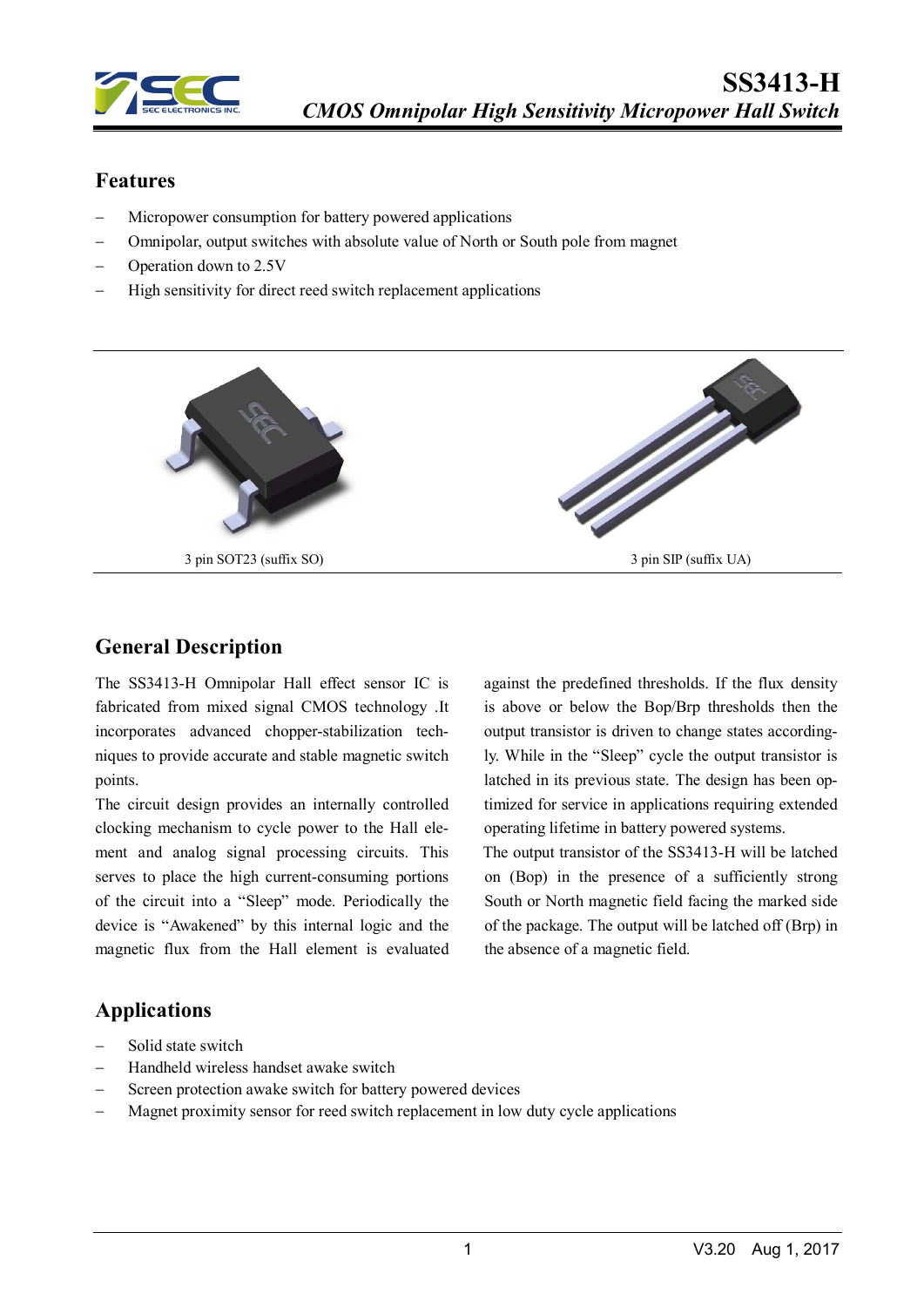

### **Features**

- Micropower consumption for battery powered applications
- − Omnipolar, output switches with absolute value of North or South pole from magnet
- Operation down to 2.5V
- High sensitivity for direct reed switch replacement applications



#### **General Description**

The SS3413-H Omnipolar Hall effect sensor IC is fabricated from mixed signal CMOS technology .It incorporates advanced chopper-stabilization techniques to provide accurate and stable magnetic switch points.

The circuit design provides an internally controlled clocking mechanism to cycle power to the Hall element and analog signal processing circuits. This serves to place the high current-consuming portions of the circuit into a "Sleep" mode. Periodically the device is "Awakened" by this internal logic and the magnetic flux from the Hall element is evaluated against the predefined thresholds. If the flux density is above or below the Bop/Brp thresholds then the output transistor is driven to change states accordingly. While in the "Sleep" cycle the output transistor is latched in its previous state. The design has been optimized for service in applications requiring extended operating lifetime in battery powered systems.

The output transistor of the SS3413-H will be latched on (Bop) in the presence of a sufficiently strong South or North magnetic field facing the marked side of the package. The output will be latched off (Brp) in the absence of a magnetic field.

### **Applications**

- − Solid state switch
- − Handheld wireless handset awake switch
- Screen protection awake switch for battery powered devices
- Magnet proximity sensor for reed switch replacement in low duty cycle applications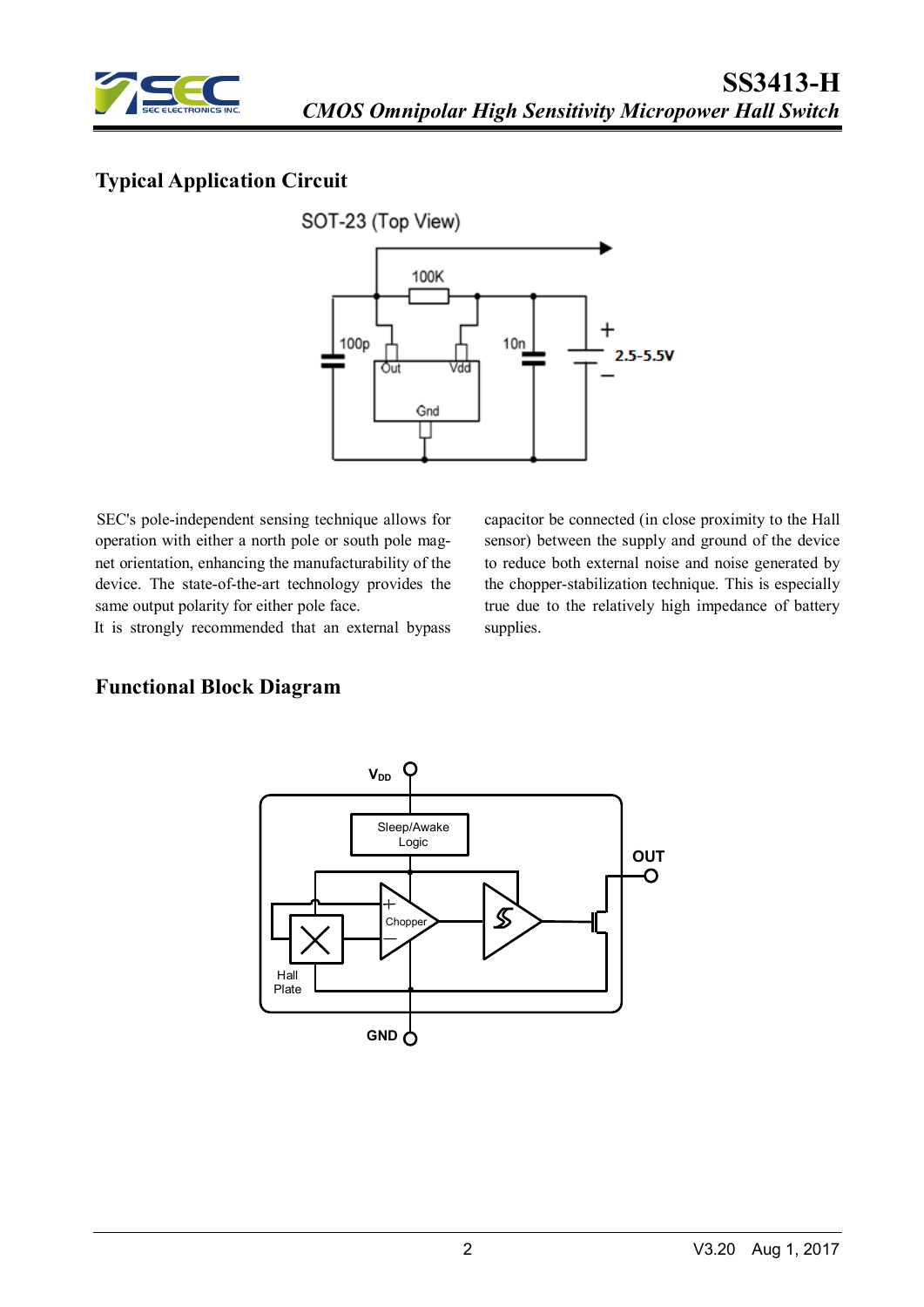

# **Typical Application Circuit**



SEC's pole-independent sensing technique allows for operation with either a north pole or south pole magnet orientation, enhancing the manufacturability of the device. The state-of-the-art technology provides the same output polarity for either pole face.

It is strongly recommended that an external bypass

capacitor be connected (in close proximity to the Hall sensor) between the supply and ground of the device to reduce both external noise and noise generated by the chopper-stabilization technique. This is especially true due to the relatively high impedance of battery supplies.

# **Functional Block Diagram**

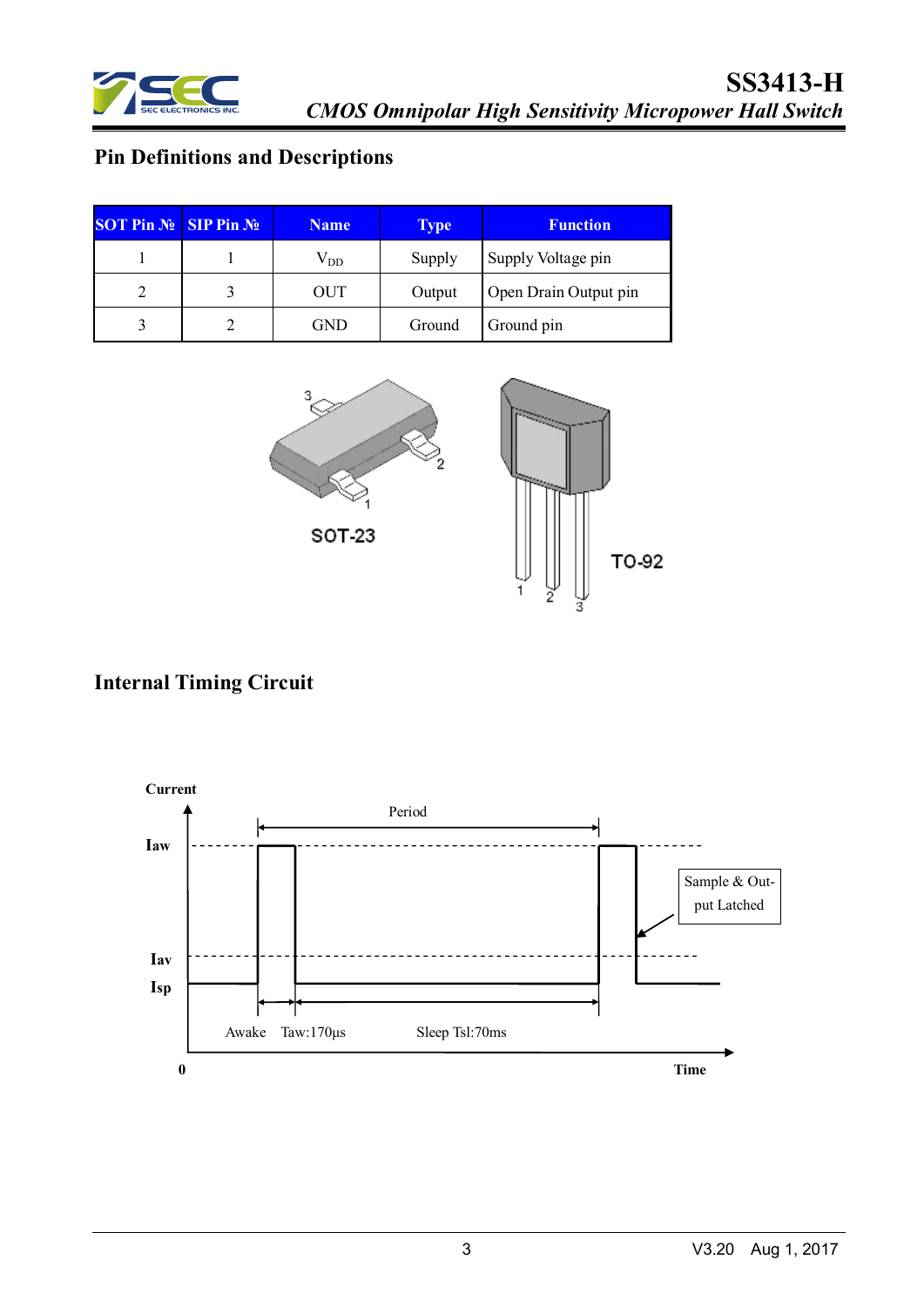

# **Pin Definitions and Descriptions**

| <b>SOT Pin <math>N_2</math> SIP Pin <math>N_2</math></b> | <b>Name</b>  | <b>Type</b> | <b>Function</b>       |
|----------------------------------------------------------|--------------|-------------|-----------------------|
|                                                          | $\rm V_{DD}$ | Supply      | Supply Voltage pin    |
|                                                          | OUT          | Output      | Open Drain Output pin |
|                                                          | GND          | Ground      | Ground pin            |



# **Internal Timing Circuit**

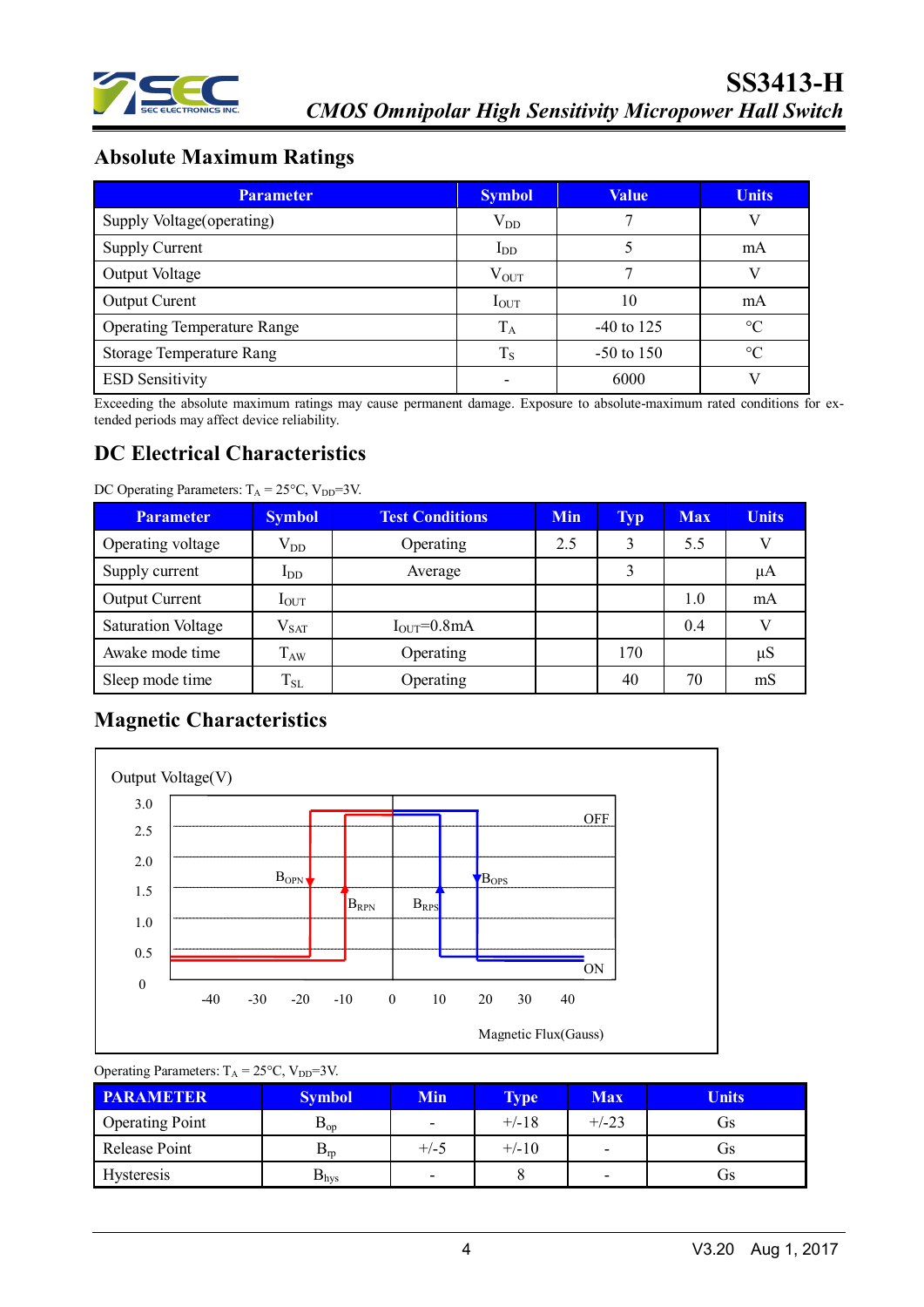

# **Absolute Maximum Ratings**

| <b>Parameter</b>                   | <b>Symbol</b> | <b>Value</b> | <b>Units</b> |
|------------------------------------|---------------|--------------|--------------|
| Supply Voltage (operating)         | $V_{DD}$      |              |              |
| Supply Current                     | $I_{DD}$      |              | mA           |
| Output Voltage                     | $V_{OUT}$     |              |              |
| <b>Output Curent</b>               | $I_{OUT}$     | 10           | mA           |
| <b>Operating Temperature Range</b> | $\rm T_A$     | $-40$ to 125 | $\Gamma$     |
| <b>Storage Temperature Rang</b>    | $T_S$         | $-50$ to 150 | $\circ$      |
| <b>ESD Sensitivity</b>             |               | 6000         |              |

Exceeding the absolute maximum ratings may cause permanent damage. Exposure to absolute-maximum rated conditions for extended periods may affect device reliability.

### **DC Electrical Characteristics**

| $BC$ operating Farameters. $FA = 25$ C, $T  T = 7$ . |                  |                        |            |            |            |              |
|------------------------------------------------------|------------------|------------------------|------------|------------|------------|--------------|
| <b>Parameter</b>                                     | <b>Symbol</b>    | <b>Test Conditions</b> | <b>Min</b> | <b>Typ</b> | <b>Max</b> | <b>Units</b> |
| Operating voltage                                    | $\rm V_{DD}$     | Operating              | 2.5        | 3          | 5.5        | V            |
| Supply current                                       | $I_{DD}$         | Average                |            |            |            | μA           |
| <b>Output Current</b>                                | $I_{\text{OUT}}$ |                        |            |            | 1.0        | mA           |
| <b>Saturation Voltage</b>                            | $\rm V_{SAT}$    | $IOUT=0.8mA$           |            |            | 0.4        | V            |
| Awake mode time                                      | $T_{AW}$         | Operating              |            | 170        |            | $\mu S$      |
| Sleep mode time                                      | $T_{SL}$         | Operating              |            | 40         | 70         | mS           |

#### DC Operating Parameters:  $T_A = 25^{\circ}C$ ,  $V_{DD} = 3V$ .

# **Magnetic Characteristics**



| <b>PARAMETER</b>       | <b>Symbol</b>                 | <b>Min</b>               | <b>Type</b> | <b>Max</b> | <b>Units</b> |
|------------------------|-------------------------------|--------------------------|-------------|------------|--------------|
| <b>Operating Point</b> | $\mathbf{\omega}_{\text{OD}}$ | $\overline{\phantom{0}}$ | $+/-18$     | $+/-23$    | US           |
| Release Point          | $D_{ID}$                      | $+/-5$                   | $+/-10$     |            | US           |
| <b>Hysteresis</b>      | $\mathbf{D}_{\rm hVS}$        | $\overline{\phantom{0}}$ |             | -          | US           |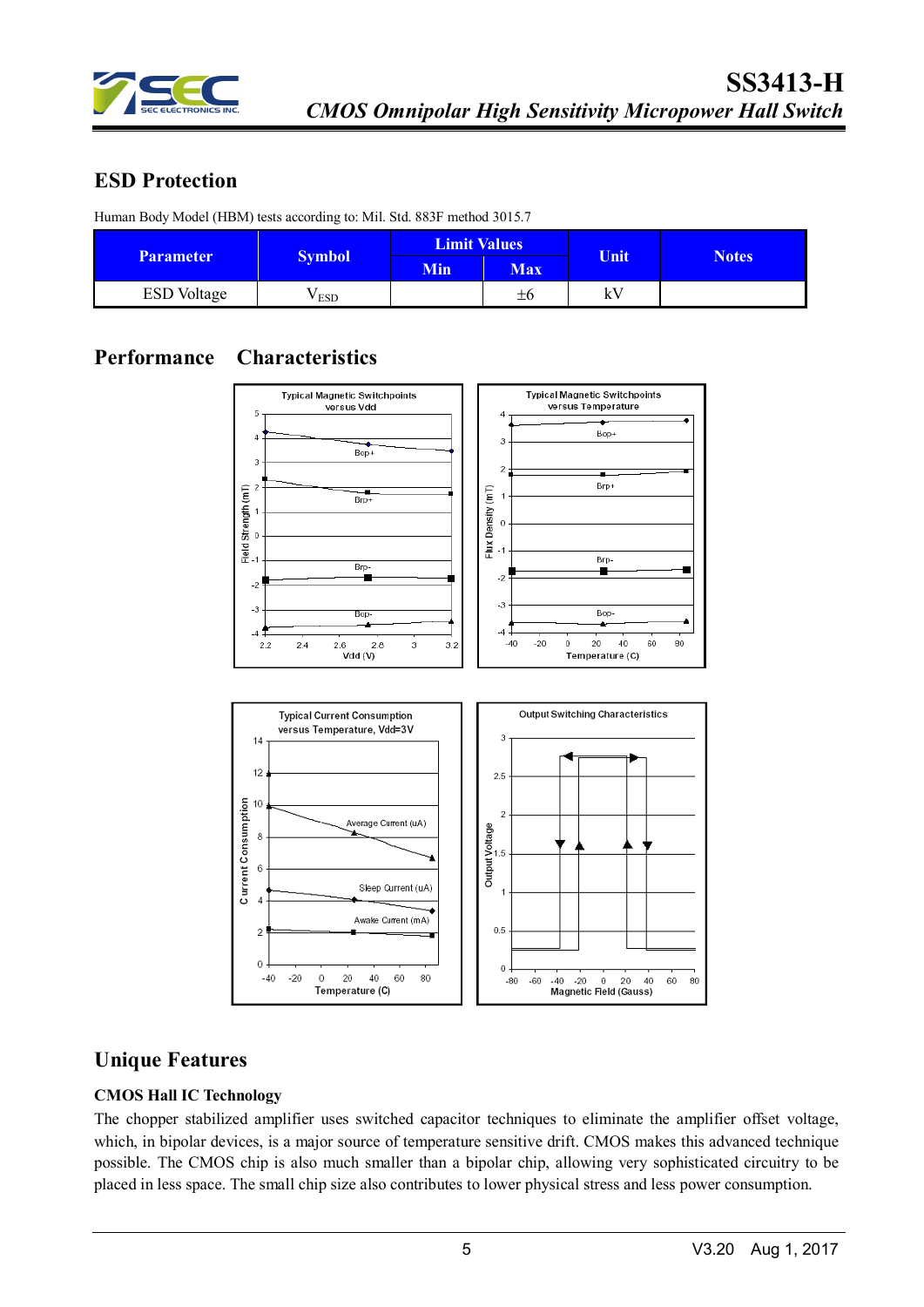

### **ESD Protection**

Human Body Model (HBM) tests according to: Mil. Std. 883F method 3015.7

|                    |                  | <b>Limit Values</b> |            | Unit |              |  |
|--------------------|------------------|---------------------|------------|------|--------------|--|
| <b>Parameter</b>   | <b>Symbol</b>    | <b>Min</b>          | <b>Max</b> |      | <b>Notes</b> |  |
| <b>ESD</b> Voltage | V <sub>ESD</sub> |                     | ±6         | kV   |              |  |

# **Performance Characteristics**



### **Unique Features**

#### **CMOS Hall IC Technology**

The chopper stabilized amplifier uses switched capacitor techniques to eliminate the amplifier offset voltage, which, in bipolar devices, is a major source of temperature sensitive drift. CMOS makes this advanced technique possible. The CMOS chip is also much smaller than a bipolar chip, allowing very sophisticated circuitry to be placed in less space. The small chip size also contributes to lower physical stress and less power consumption.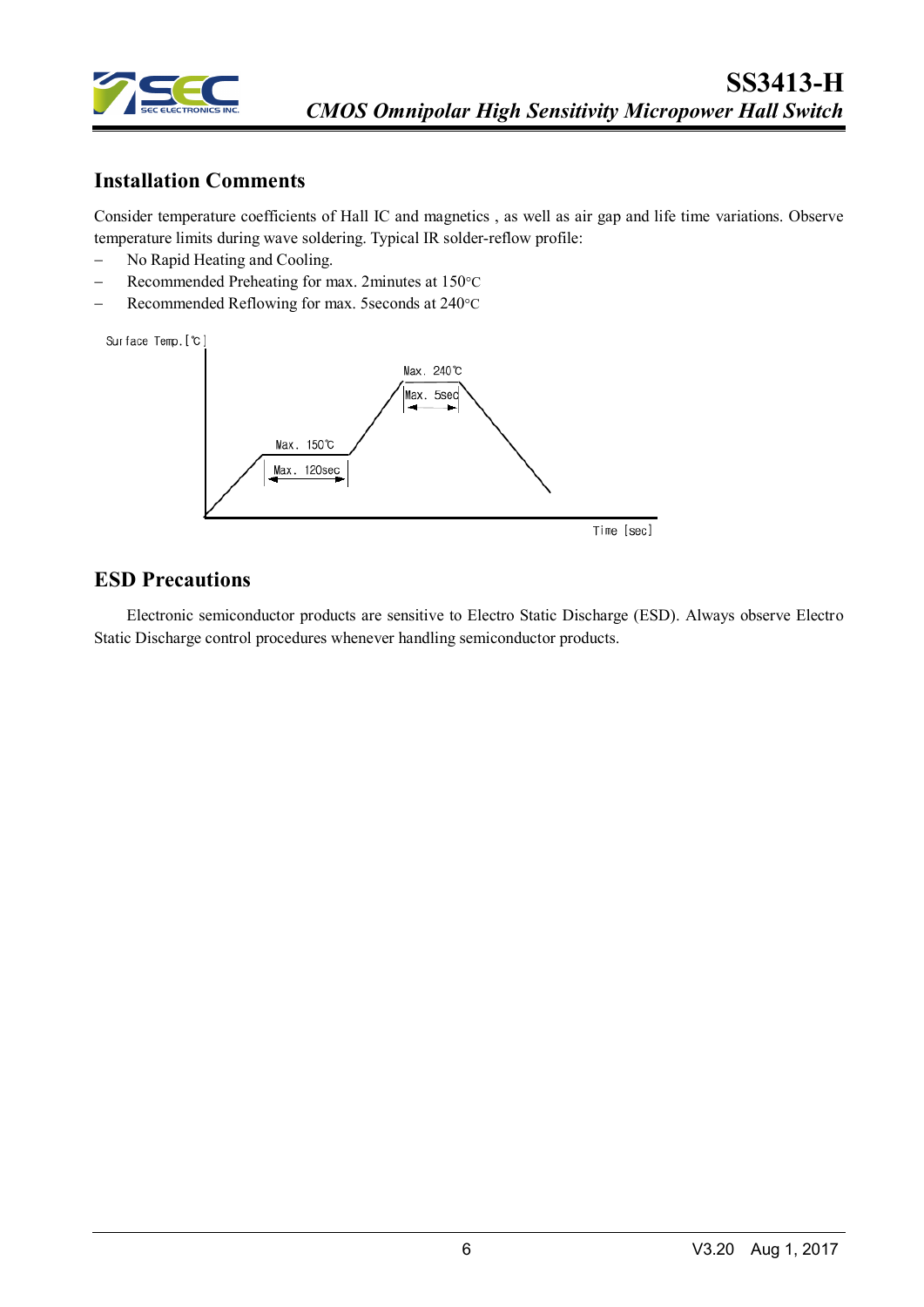

### **Installation Comments**

Consider temperature coefficients of Hall IC and magnetics , as well as air gap and life time variations. Observe temperature limits during wave soldering. Typical IR solder-reflow profile:

- − No Rapid Heating and Cooling.
- − Recommended Preheating for max. 2minutes at 150°C
- − Recommended Reflowing for max. 5seconds at 240°C



#### **ESD Precautions**

Electronic semiconductor products are sensitive to Electro Static Discharge (ESD). Always observe Electro Static Discharge control procedures whenever handling semiconductor products.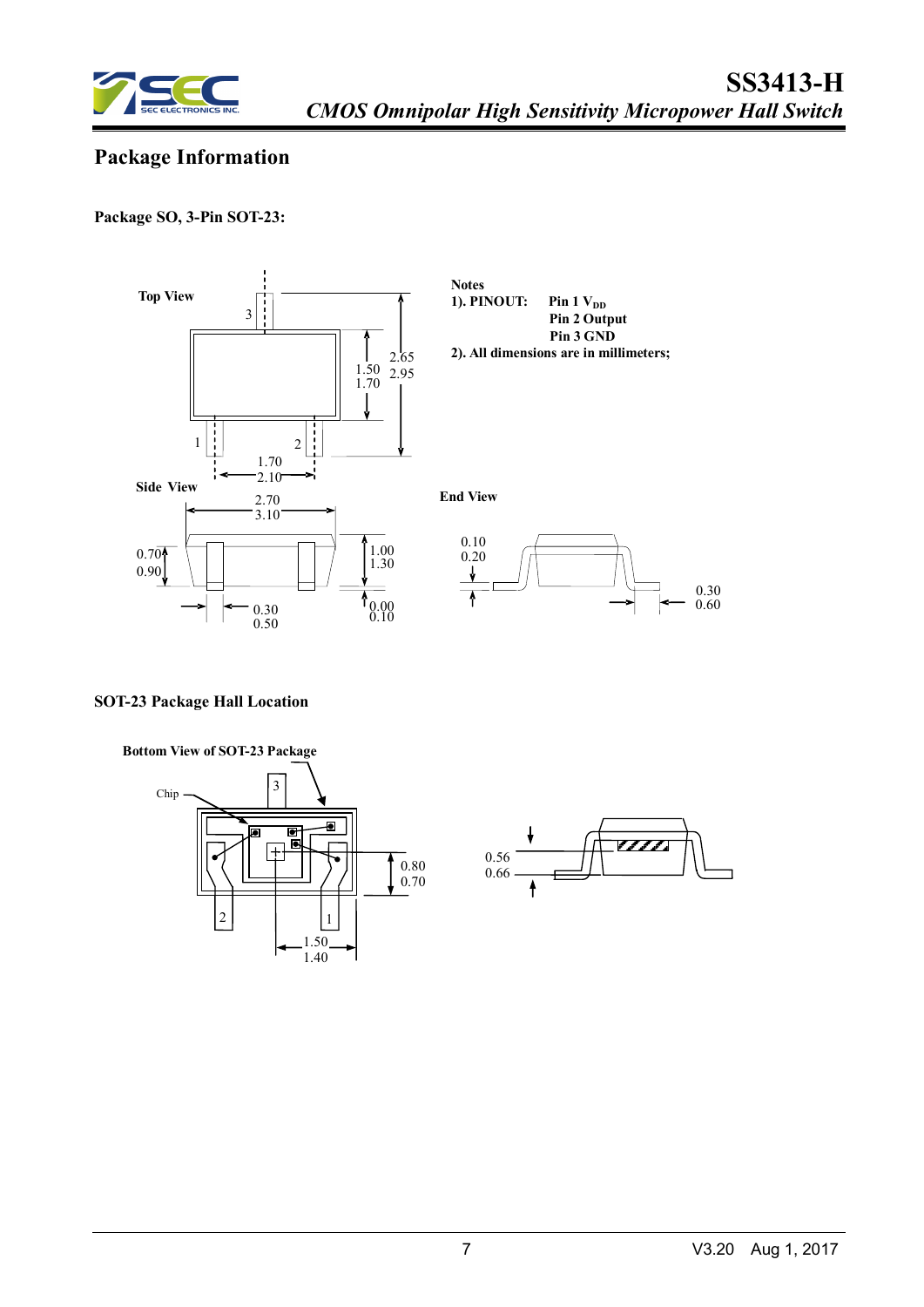

# **Package Information**

**Package SO, 3-Pin SOT-23:**



#### **SOT-23 Package Hall Location**



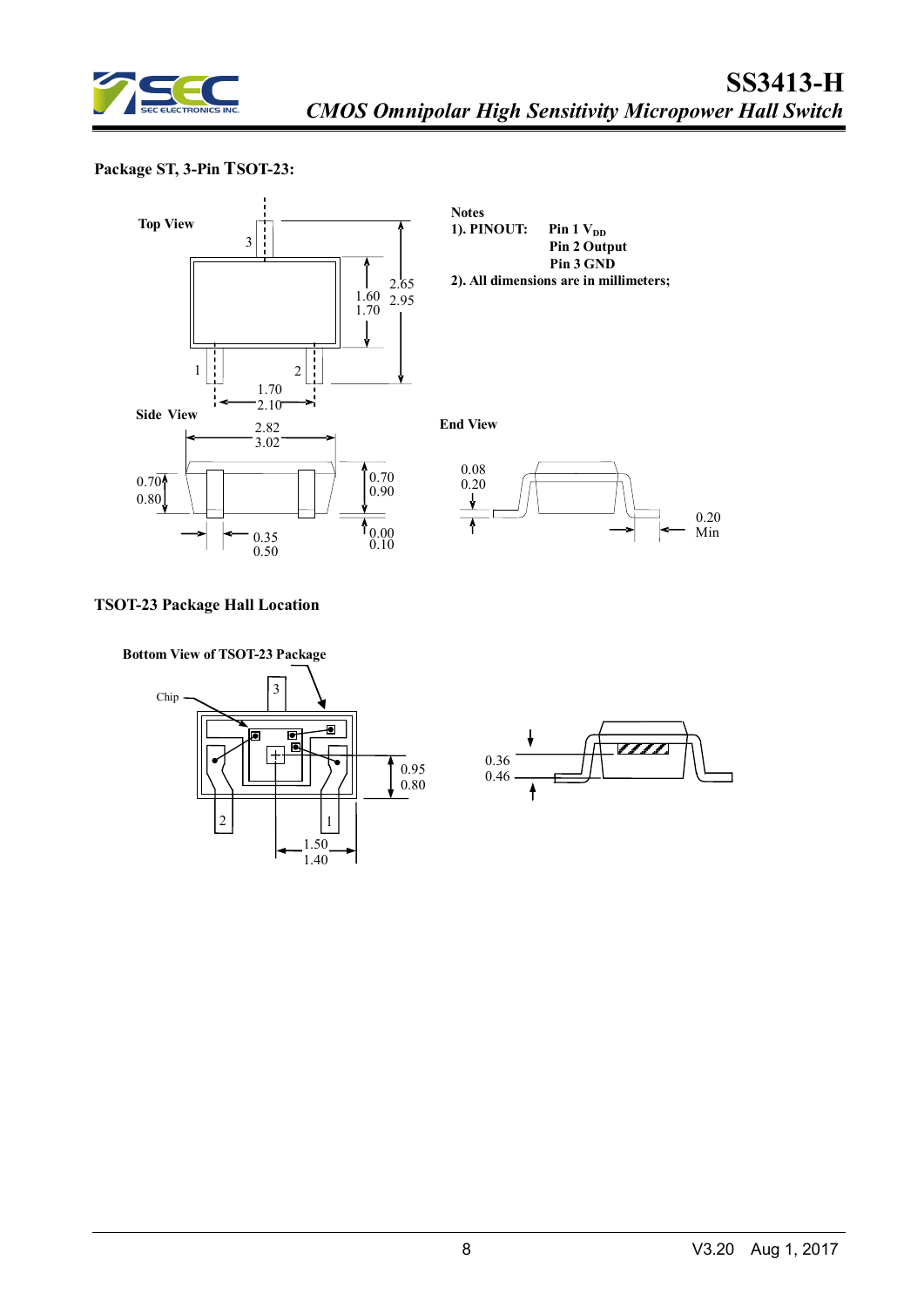

#### **Package ST, 3-Pin TSOT-23:**



**Notes 1). PINOUT:** Pin  $1 V_{DD}$  **Pin 2 Output Pin 3 GND 2). All dimensions are in millimeters;**

**End View**



#### **TSOT-23 Package Hall Location**



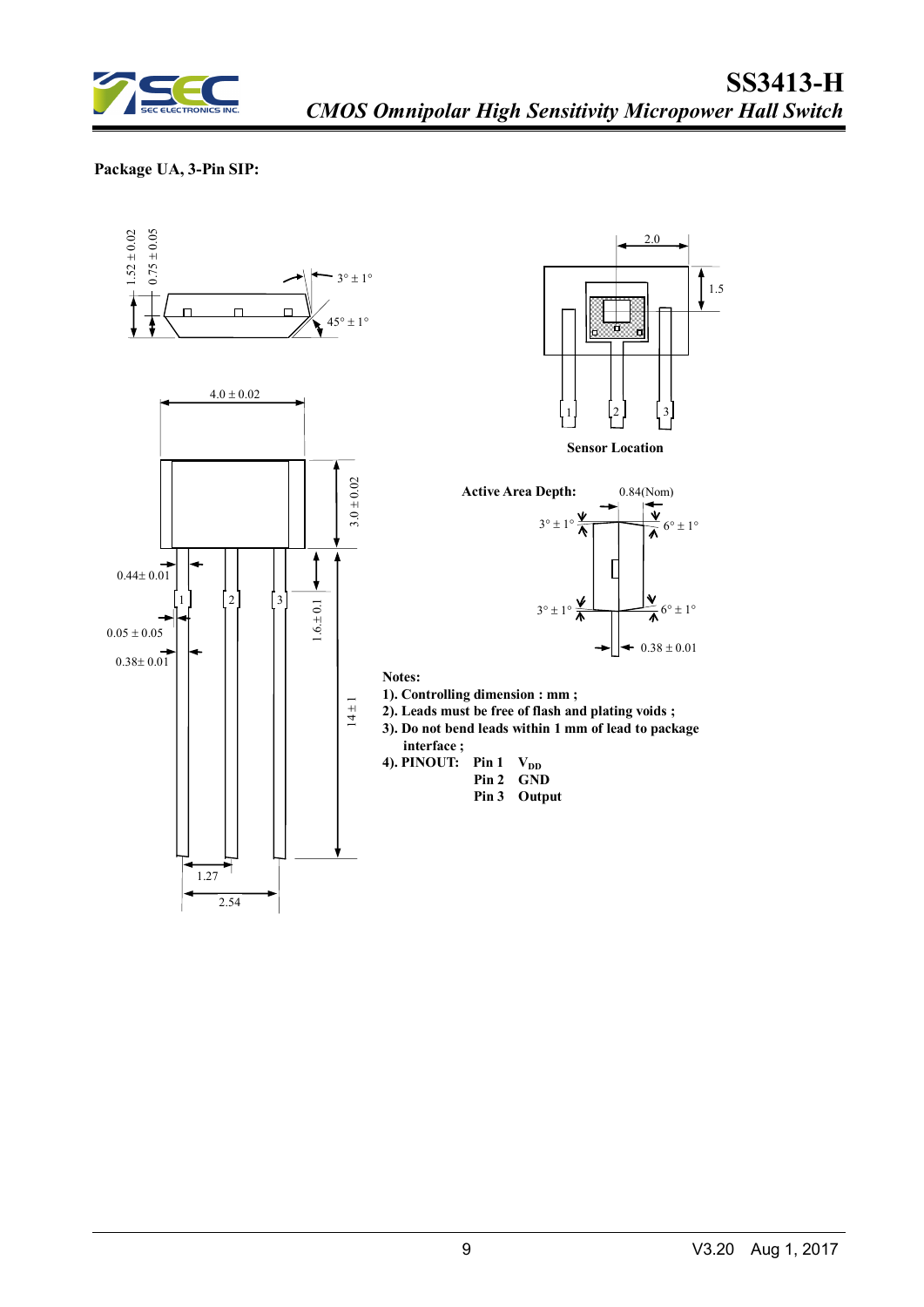

#### **Package UA, 3-Pin SIP:**